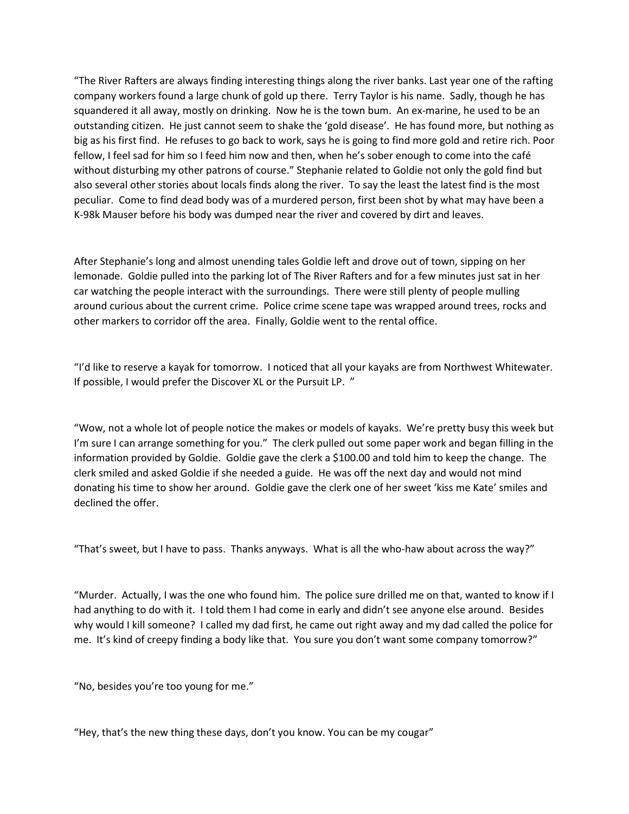"The River Rafters are always finding interesting things along the river banks. Last year one of the rafting company workers found a large chunk of gold up there. Terry Taylor is his name. Sadly, though he has squandered it all away, mostly on drinking. Now he is the town bum. An ex-marine, he used to be an outstanding citizen. He just cannot seem to shake the 'gold disease'. He has found more, but nothing as big as his first find. He refuses to go back to work, says he is going to find more gold and retire rich. Poor fellow, I feel sad for him so I feed him now and then, when he's sober enough to come into the café without disturbing my other patrons of course." Stephanie related to Goldie not only the gold find but also several other stories about locals finds along the river. To say the least the latest find is the most peculiar. Come to find dead body was of a murdered person, first been shot by what may have been a K-98k Mauser before his body was dumped near the river and covered by dirt and leaves.

After Stephanie's long and almost unending tales Goldie left and drove out of town, sipping on her lemonade. Goldie pulled into the parking lot of The River Rafters and for a few minutes just sat in her car watching the people interact with the surroundings. There were still plenty of people mulling around curious about the current crime. Police crime scene tape was wrapped around trees, rocks and other markers to corridor off the area. Finally, Goldie went to the rental office.

"I'd like to reserve a kayak for tomorrow. I noticed that all your kayaks are from Northwest Whitewater. If possible, I would prefer the Discover XL or the Pursuit LP. "

"Wow, not a whole lot of people notice the makes or models of kayaks. We're pretty busy this week but I'm sure I can arrange something for you." The clerk pulled out some paper work and began filling in the information provided by Goldie. Goldie gave the clerk a \$100.00 and told him to keep the change. The clerk smiled and asked Goldie if she needed a guide. He was off the next day and would not mind donating his time to show her around. Goldie gave the clerk one of her sweet 'kiss me Kate' smiles and declined the offer.

"That's sweet, but I have to pass. Thanks anyways. What is all the who-haw about across the way?"

"Murder. Actually, I was the one who found him. The police sure drilled me on that, wanted to know if I had anything to do with it. I told them I had come in early and didn't see anyone else around. Besides why would I kill someone? I called my dad first, he came out right away and my dad called the police for me. It's kind of creepy finding a body like that. You sure you don't want some company tomorrow?"

"No, besides you're too young for me."

"Hey, that's the new thing these days, don't you know. You can be my cougar"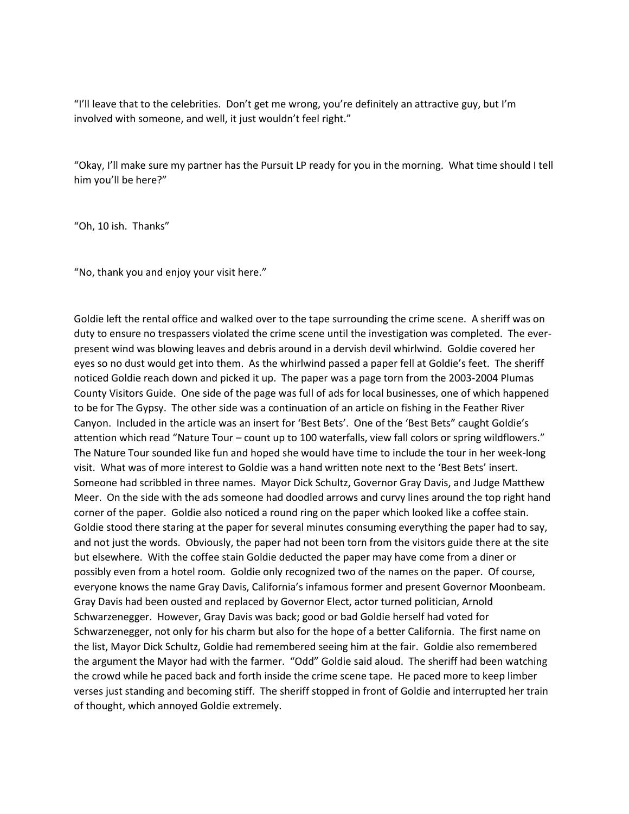"I'll leave that to the celebrities. Don't get me wrong, you're definitely an attractive guy, but I'm involved with someone, and well, it just wouldn't feel right."

"Okay, I'll make sure my partner has the Pursuit LP ready for you in the morning. What time should I tell him you'll be here?"

"Oh, 10 ish. Thanks"

"No, thank you and enjoy your visit here."

Goldie left the rental office and walked over to the tape surrounding the crime scene. A sheriff was on duty to ensure no trespassers violated the crime scene until the investigation was completed. The everpresent wind was blowing leaves and debris around in a dervish devil whirlwind. Goldie covered her eyes so no dust would get into them. As the whirlwind passed a paper fell at Goldie's feet. The sheriff noticed Goldie reach down and picked it up. The paper was a page torn from the 2003-2004 Plumas County Visitors Guide. One side of the page was full of ads for local businesses, one of which happened to be for The Gypsy. The other side was a continuation of an article on fishing in the Feather River Canyon. Included in the article was an insert for 'Best Bets'. One of the 'Best Bets" caught Goldie's attention which read "Nature Tour - count up to 100 waterfalls, view fall colors or spring wildflowers." The Nature Tour sounded like fun and hoped she would have time to include the tour in her week-long visit. What was of more interest to Goldie was a hand written note next to the 'Best Bets' insert. Someone had scribbled in three names. Mayor Dick Schultz, Governor Gray Davis, and Judge Matthew Meer. On the side with the ads someone had doodled arrows and curvy lines around the top right hand corner of the paper. Goldie also noticed a round ring on the paper which looked like a coffee stain. Goldie stood there staring at the paper for several minutes consuming everything the paper had to say, and not just the words. Obviously, the paper had not been torn from the visitors guide there at the site but elsewhere. With the coffee stain Goldie deducted the paper may have come from a diner or possibly even from a hotel room. Goldie only recognized two of the names on the paper. Of course, everyone knows the name Gray Davis, California's infamous former and present Governor Moonbeam. Gray Davis had been ousted and replaced by Governor Elect, actor turned politician, Arnold Schwarzenegger. However, Gray Davis was back; good or bad Goldie herself had voted for Schwarzenegger, not only for his charm but also for the hope of a better California. The first name on the list, Mayor Dick Schultz, Goldie had remembered seeing him at the fair. Goldie also remembered the argument the Mayor had with the farmer. "Odd" Goldie said aloud. The sheriff had been watching the crowd while he paced back and forth inside the crime scene tape. He paced more to keep limber verses just standing and becoming stiff. The sheriff stopped in front of Goldie and interrupted her train of thought, which annoyed Goldie extremely.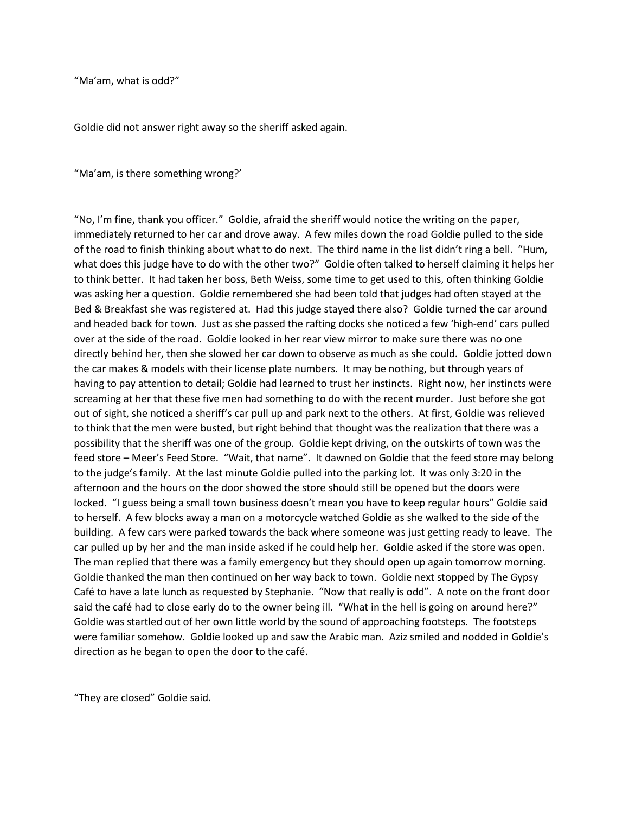"Ma'am, what is odd?"

Goldie did not answer right away so the sheriff asked again.

"Ma'am, is there something wrong?"

"No, I'm fine, thank you officer." Goldie, afraid the sheriff would notice the writing on the paper, immediately returned to her car and drove away. A few miles down the road Goldie pulled to the side of the road to finish thinking about what to do next. The third name in the list didn't ring a bell. "Hum, what does this judge have to do with the other two?" Goldie often talked to herself claiming it helps her to think better. It had taken her boss, Beth Weiss, some time to get used to this, often thinking Goldie was asking her a question. Goldie remembered she had been told that judges had often stayed at the Bed & Breakfast she was registered at. Had this judge stayed there also? Goldie turned the car around and headed back for town. Just as she passed the rafting docks she noticed a few 'high-end' cars pulled over at the side of the road. Goldie looked in her rear view mirror to make sure there was no one directly behind her, then she slowed her car down to observe as much as she could. Goldie jotted down the car makes & models with their license plate numbers. It may be nothing, but through years of having to pay attention to detail; Goldie had learned to trust her instincts. Right now, her instincts were screaming at her that these five men had something to do with the recent murder. Just before she got out of sight, she noticed a sheriff's car pull up and park next to the others. At first, Goldie was relieved to think that the men were busted, but right behind that thought was the realization that there was a possibility that the sheriff was one of the group. Goldie kept driving, on the outskirts of town was the feed store – Meer's Feed Store. "Wait, that name". It dawned on Goldie that the feed store may belong to the judge's family. At the last minute Goldie pulled into the parking lot. It was only 3:20 in the afternoon and the hours on the door showed the store should still be opened but the doors were locked. "I guess being a small town business doesn't mean you have to keep regular hours" Goldie said to herself. A few blocks away a man on a motorcycle watched Goldie as she walked to the side of the building. A few cars were parked towards the back where someone was just getting ready to leave. The car pulled up by her and the man inside asked if he could help her. Goldie asked if the store was open. The man replied that there was a family emergency but they should open up again tomorrow morning. Goldie thanked the man then continued on her way back to town. Goldie next stopped by The Gypsy Café to have a late lunch as requested by Stephanie. "Now that really is odd". A note on the front door said the café had to close early do to the owner being ill. "What in the hell is going on around here?" Goldie was startled out of her own little world by the sound of approaching footsteps. The footsteps were familiar somehow. Goldie looked up and saw the Arabic man. Aziz smiled and nodded in Goldie's direction as he began to open the door to the café.

͞They are closed͟ Goldie said.